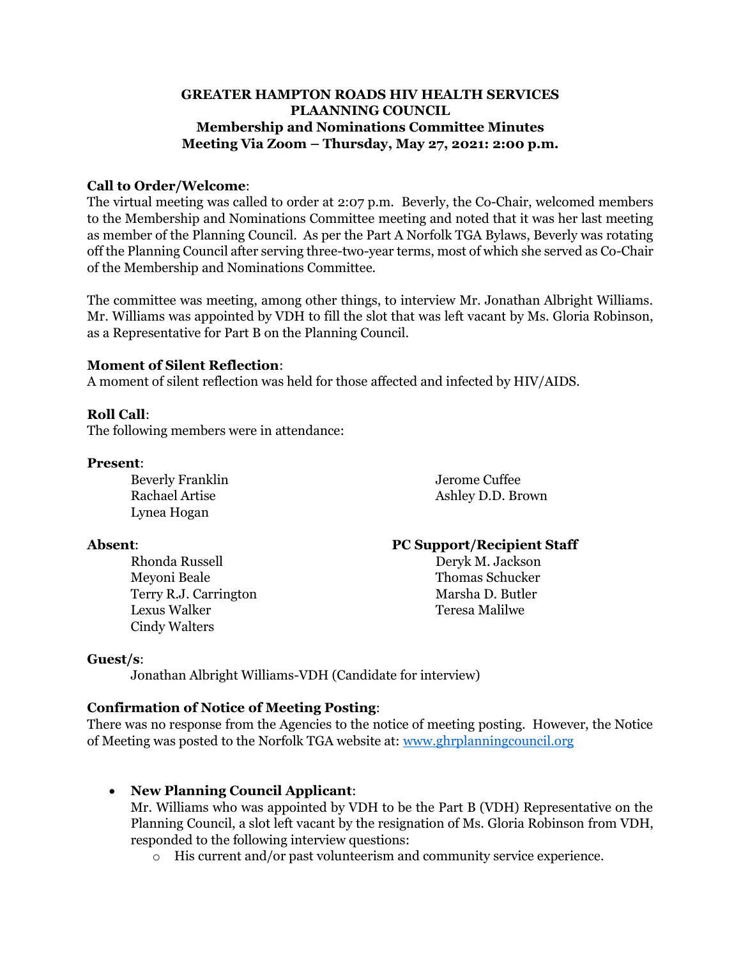# **GREATER HAMPTON ROADS HIV HEALTH SERVICES PLAANNING COUNCIL Membership and Nominations Committee Minutes Meeting Via Zoom – Thursday, May 27, 2021: 2:00 p.m.**

# **Call to Order/Welcome**:

The virtual meeting was called to order at 2:07 p.m. Beverly, the Co-Chair, welcomed members to the Membership and Nominations Committee meeting and noted that it was her last meeting as member of the Planning Council. As per the Part A Norfolk TGA Bylaws, Beverly was rotating off the Planning Council after serving three-two-year terms, most of which she served as Co-Chair of the Membership and Nominations Committee.

The committee was meeting, among other things, to interview Mr. Jonathan Albright Williams. Mr. Williams was appointed by VDH to fill the slot that was left vacant by Ms. Gloria Robinson, as a Representative for Part B on the Planning Council.

## **Moment of Silent Reflection**:

A moment of silent reflection was held for those affected and infected by HIV/AIDS.

#### **Roll Call**:

The following members were in attendance:

#### **Present**:

Beverly Franklin Jerome Cuffee Rachael Artise Ashley D.D. Brown Lynea Hogan

Meyoni Beale Thomas Schucker Terry R.J. Carrington Marsha D. Butler Lexus Walker Teresa Malilwe Cindy Walters

## **Absent**: **PC Support/Recipient Staff**

Rhonda Russell Deryk M. Jackson

## **Guest/s**:

Jonathan Albright Williams-VDH (Candidate for interview)

## **Confirmation of Notice of Meeting Posting**:

There was no response from the Agencies to the notice of meeting posting. However, the Notice of Meeting was posted to the Norfolk TGA website at: [www.ghrplanningcouncil.org](http://www.ghrplanningcouncil.org/)

## • **New Planning Council Applicant**:

Mr. Williams who was appointed by VDH to be the Part B (VDH) Representative on the Planning Council, a slot left vacant by the resignation of Ms. Gloria Robinson from VDH, responded to the following interview questions:

o His current and/or past volunteerism and community service experience.